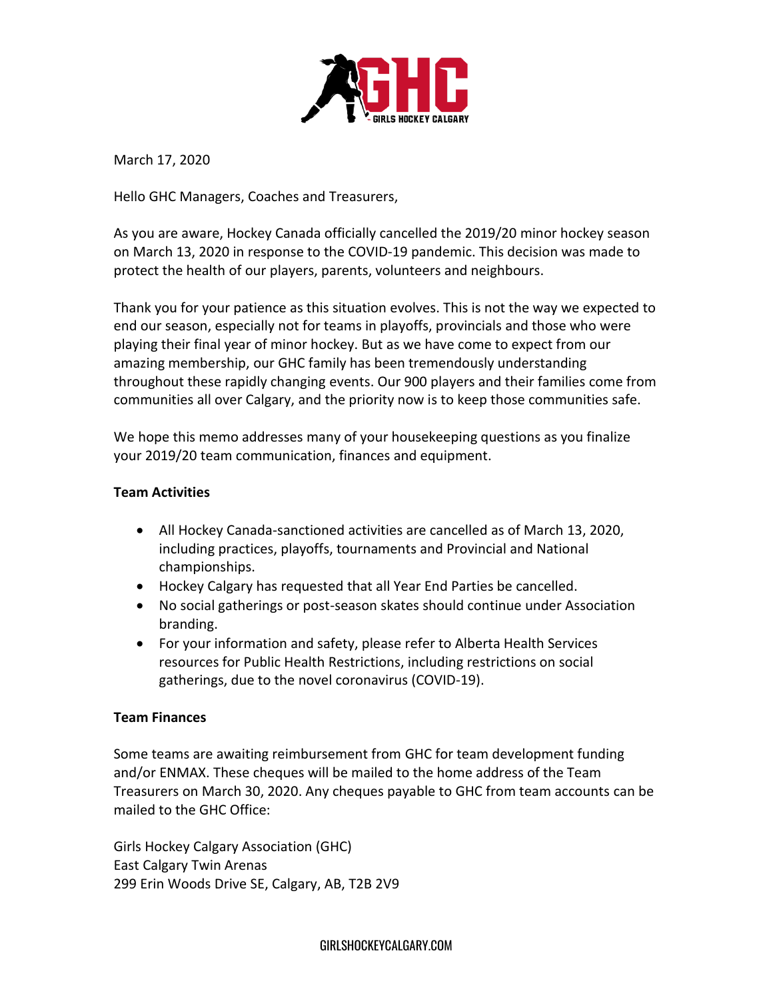

March 17, 2020

Hello GHC Managers, Coaches and Treasurers,

As you are aware, Hockey Canada officially cancelled the 2019/20 minor hockey season on March 13, 2020 in response to the COVID-19 pandemic. This decision was made to protect the health of our players, parents, volunteers and neighbours.

Thank you for your patience as this situation evolves. This is not the way we expected to end our season, especially not for teams in playoffs, provincials and those who were playing their final year of minor hockey. But as we have come to expect from our amazing membership, our GHC family has been tremendously understanding throughout these rapidly changing events. Our 900 players and their families come from communities all over Calgary, and the priority now is to keep those communities safe.

We hope this memo addresses many of your housekeeping questions as you finalize your 2019/20 team communication, finances and equipment.

# **Team Activities**

- All Hockey Canada-sanctioned activities are cancelled as of March 13, 2020, including practices, playoffs, tournaments and Provincial and National championships.
- Hockey Calgary has requested that all Year End Parties be cancelled.
- No social gatherings or post-season skates should continue under Association branding.
- For your information and safety, please refer to Alberta Health Services resources for Public Health Restrictions, including restrictions on social gatherings, due to the novel coronavirus (COVID-19).

## **Team Finances**

Some teams are awaiting reimbursement from GHC for team development funding and/or ENMAX. These cheques will be mailed to the home address of the Team Treasurers on March 30, 2020. Any cheques payable to GHC from team accounts can be mailed to the GHC Office:

Girls Hockey Calgary Association (GHC) East Calgary Twin Arenas 299 Erin Woods Drive SE, Calgary, AB, T2B 2V9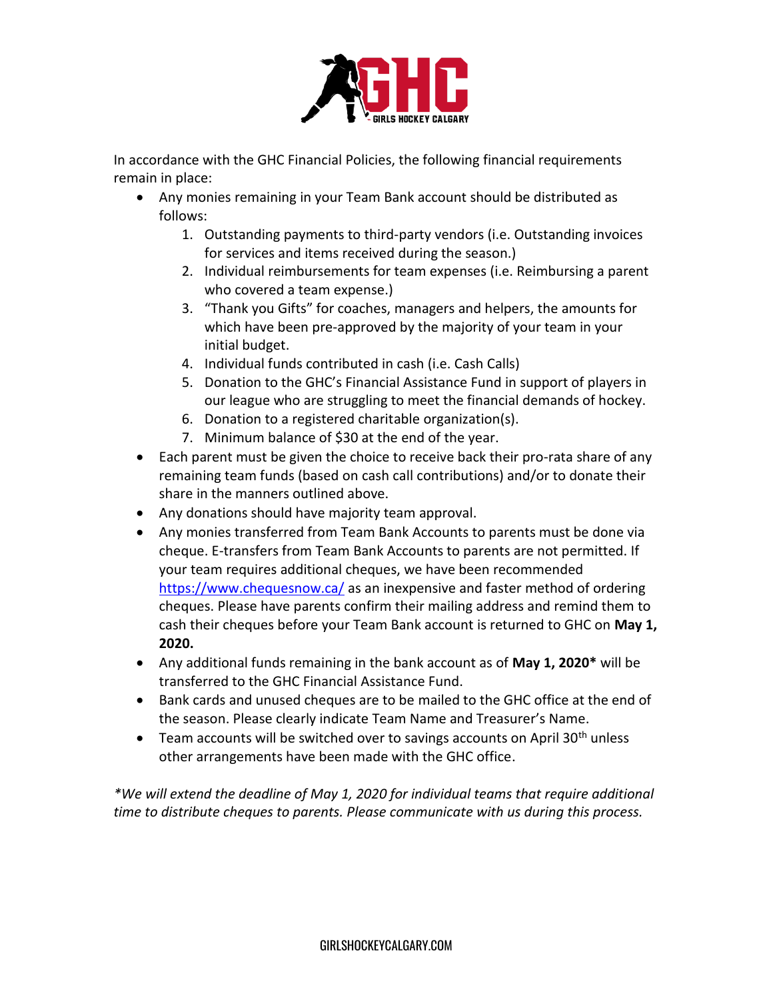

In accordance with the GHC Financial Policies, the following financial requirements remain in place:

- Any monies remaining in your Team Bank account should be distributed as follows:
	- 1. Outstanding payments to third-party vendors (i.e. Outstanding invoices for services and items received during the season.)
	- 2. Individual reimbursements for team expenses (i.e. Reimbursing a parent who covered a team expense.)
	- 3. "Thank you Gifts" for coaches, managers and helpers, the amounts for which have been pre-approved by the majority of your team in your initial budget.
	- 4. Individual funds contributed in cash (i.e. Cash Calls)
	- 5. Donation to the GHC's Financial Assistance Fund in support of players in our league who are struggling to meet the financial demands of hockey.
	- 6. Donation to a registered charitable organization(s).
	- 7. Minimum balance of \$30 at the end of the year.
- Each parent must be given the choice to receive back their pro-rata share of any remaining team funds (based on cash call contributions) and/or to donate their share in the manners outlined above.
- Any donations should have majority team approval.
- Any monies transferred from Team Bank Accounts to parents must be done via cheque. E-transfers from Team Bank Accounts to parents are not permitted. If your team requires additional cheques, we have been recommended <https://www.chequesnow.ca/> as an inexpensive and faster method of ordering cheques. Please have parents confirm their mailing address and remind them to cash their cheques before your Team Bank account is returned to GHC on **May 1, 2020.**
- Any additional funds remaining in the bank account as of **May 1, 2020\*** will be transferred to the GHC Financial Assistance Fund.
- Bank cards and unused cheques are to be mailed to the GHC office at the end of the season. Please clearly indicate Team Name and Treasurer's Name.
- **•** Team accounts will be switched over to savings accounts on April 30<sup>th</sup> unless other arrangements have been made with the GHC office.

*\*We will extend the deadline of May 1, 2020 for individual teams that require additional time to distribute cheques to parents. Please communicate with us during this process.*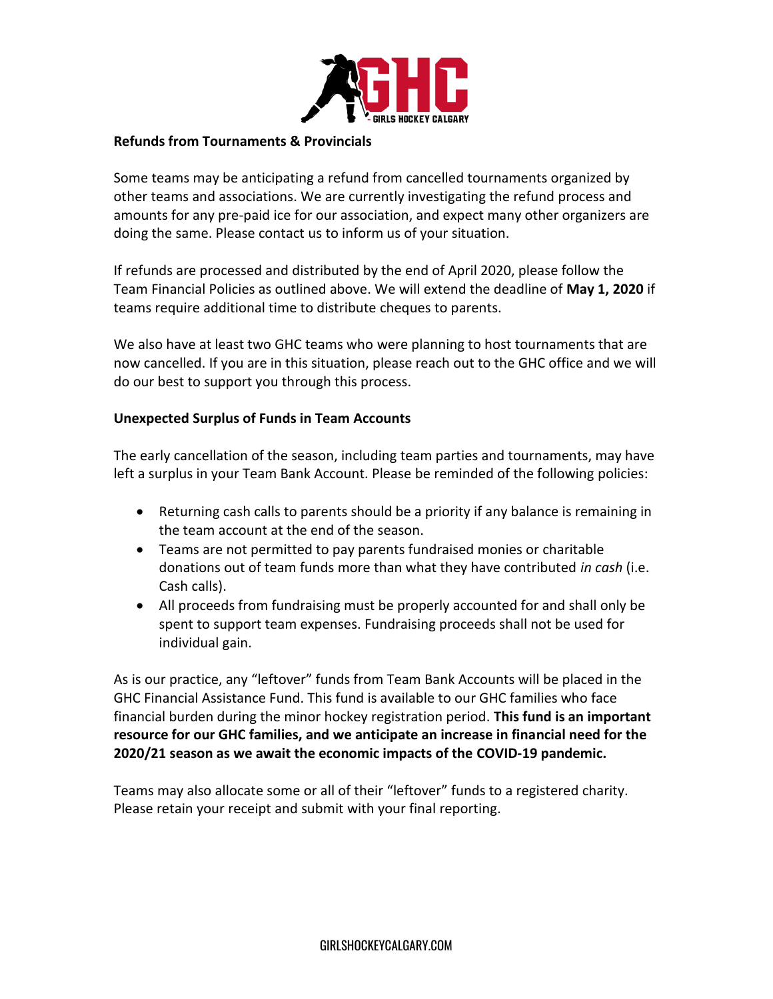

#### **Refunds from Tournaments & Provincials**

Some teams may be anticipating a refund from cancelled tournaments organized by other teams and associations. We are currently investigating the refund process and amounts for any pre-paid ice for our association, and expect many other organizers are doing the same. Please contact us to inform us of your situation.

If refunds are processed and distributed by the end of April 2020, please follow the Team Financial Policies as outlined above. We will extend the deadline of **May 1, 2020** if teams require additional time to distribute cheques to parents.

We also have at least two GHC teams who were planning to host tournaments that are now cancelled. If you are in this situation, please reach out to the GHC office and we will do our best to support you through this process.

#### **Unexpected Surplus of Funds in Team Accounts**

The early cancellation of the season, including team parties and tournaments, may have left a surplus in your Team Bank Account. Please be reminded of the following policies:

- Returning cash calls to parents should be a priority if any balance is remaining in the team account at the end of the season.
- Teams are not permitted to pay parents fundraised monies or charitable donations out of team funds more than what they have contributed *in cash* (i.e. Cash calls).
- All proceeds from fundraising must be properly accounted for and shall only be spent to support team expenses. Fundraising proceeds shall not be used for individual gain.

As is our practice, any "leftover" funds from Team Bank Accounts will be placed in the GHC Financial Assistance Fund. This fund is available to our GHC families who face financial burden during the minor hockey registration period. **This fund is an important resource for our GHC families, and we anticipate an increase in financial need for the 2020/21 season as we await the economic impacts of the COVID-19 pandemic.**

Teams may also allocate some or all of their "leftover" funds to a registered charity. Please retain your receipt and submit with your final reporting.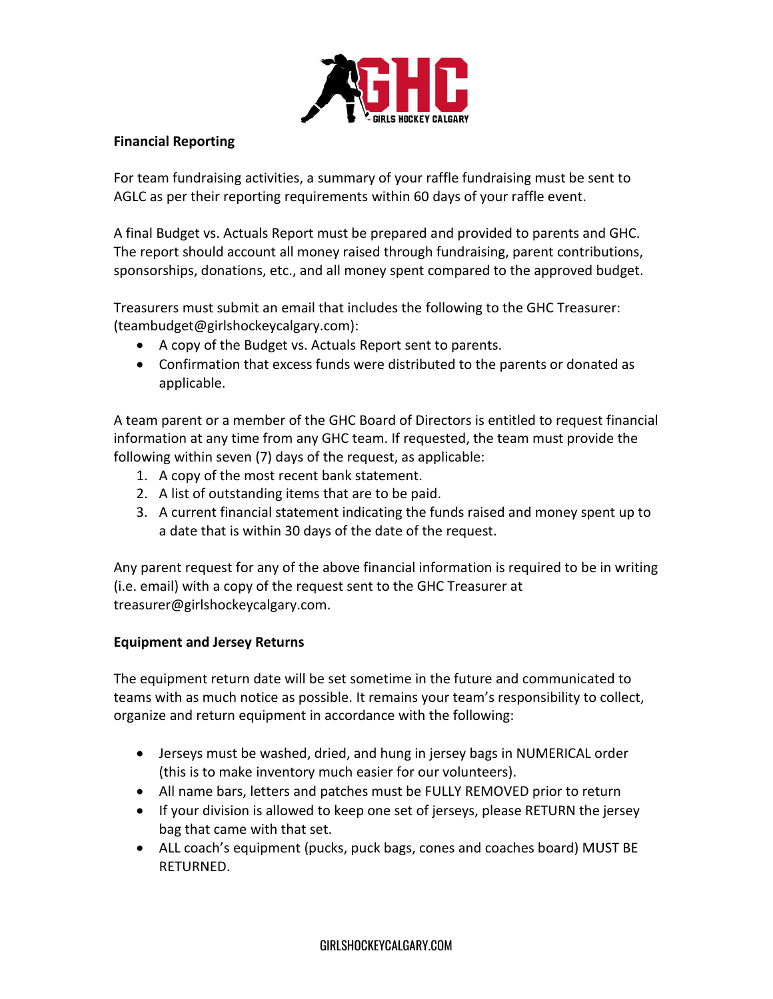

### **Financial Reporting**

For team fundraising activities, a summary of your raffle fundraising must be sent to AGLC as per their reporting requirements within 60 days of your raffle event.

A final Budget vs. Actuals Report must be prepared and provided to parents and GHC. The report should account all money raised through fundraising, parent contributions, sponsorships, donations, etc., and all money spent compared to the approved budget.

Treasurers must submit an email that includes the following to the GHC Treasurer: (teambudget@girlshockeycalgary.com):

- A copy of the Budget vs. Actuals Report sent to parents.
- Confirmation that excess funds were distributed to the parents or donated as applicable.

A team parent or a member of the GHC Board of Directors is entitled to request financial information at any time from any GHC team. If requested, the team must provide the following within seven (7) days of the request, as applicable:

- 1. A copy of the most recent bank statement.
- 2. A list of outstanding items that are to be paid.
- 3. A current financial statement indicating the funds raised and money spent up to a date that is within 30 days of the date of the request.

Any parent request for any of the above financial information is required to be in writing (i.e. email) with a copy of the request sent to the GHC Treasurer at treasurer@girlshockeycalgary.com.

## **Equipment and Jersey Returns**

The equipment return date will be set sometime in the future and communicated to teams with as much notice as possible. It remains your team's responsibility to collect, organize and return equipment in accordance with the following:

- Jerseys must be washed, dried, and hung in jersey bags in NUMERICAL order (this is to make inventory much easier for our volunteers).
- All name bars, letters and patches must be FULLY REMOVED prior to return
- If your division is allowed to keep one set of jerseys, please RETURN the jersey bag that came with that set.
- ALL coach's equipment (pucks, puck bags, cones and coaches board) MUST BE RETURNED.